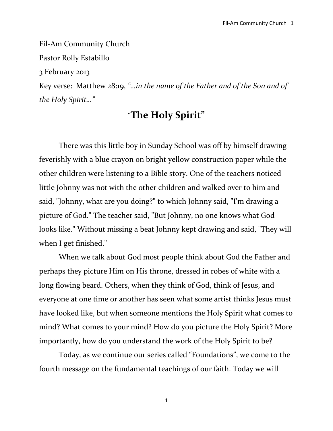Fil-Am Community Church Pastor Rolly Estabillo 3 February 2013 Key verse: Matthew 28:19, *"…in the name of the Father and of the Son and of the Holy Spirit…"*

### "**The Holy Spirit"**

There was this little boy in Sunday School was off by himself drawing feverishly with a blue crayon on bright yellow construction paper while the other children were listening to a Bible story. One of the teachers noticed little Johnny was not with the other children and walked over to him and said, "Johnny, what are you doing?" to which Johnny said, "I'm drawing a picture of God." The teacher said, "But Johnny, no one knows what God looks like." Without missing a beat Johnny kept drawing and said, "They will when I get finished."

When we talk about God most people think about God the Father and perhaps they picture Him on His throne, dressed in robes of white with a long flowing beard. Others, when they think of God, think of Jesus, and everyone at one time or another has seen what some artist thinks Jesus must have looked like, but when someone mentions the Holy Spirit what comes to mind? What comes to your mind? How do you picture the Holy Spirit? More importantly, how do you understand the work of the Holy Spirit to be?

Today, as we continue our series called "Foundations", we come to the fourth message on the fundamental teachings of our faith. Today we will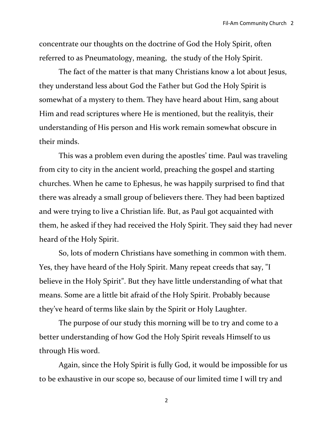concentrate our thoughts on the doctrine of God the Holy Spirit, often referred to as Pneumatology, meaning, the study of the Holy Spirit.

The fact of the matter is that many Christians know a lot about Jesus, they understand less about God the Father but God the Holy Spirit is somewhat of a mystery to them. They have heard about Him, sang about Him and read scriptures where He is mentioned, but the realityis, their understanding of His person and His work remain somewhat obscure in their minds.

This was a problem even during the apostles' time. Paul was traveling from city to city in the ancient world, preaching the gospel and starting churches. When he came to Ephesus, he was happily surprised to find that there was already a small group of believers there. They had been baptized and were trying to live a Christian life. But, as Paul got acquainted with them, he asked if they had received the Holy Spirit. They said they had never heard of the Holy Spirit.

So, lots of modern Christians have something in common with them. Yes, they have heard of the Holy Spirit. Many repeat creeds that say, "I believe in the Holy Spirit". But they have little understanding of what that means. Some are a little bit afraid of the Holy Spirit. Probably because they've heard of terms like slain by the Spirit or Holy Laughter.

The purpose of our study this morning will be to try and come to a better understanding of how God the Holy Spirit reveals Himself to us through His word.

Again, since the Holy Spirit is fully God, it would be impossible for us to be exhaustive in our scope so, because of our limited time I will try and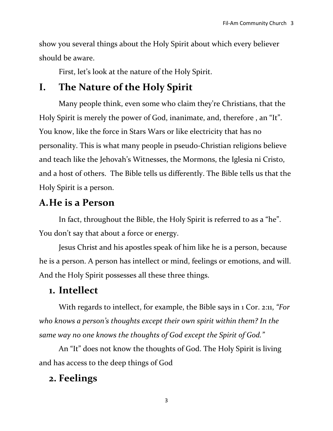show you several things about the Holy Spirit about which every believer should be aware.

First, let's look at the nature of the Holy Spirit.

## **I. The Nature of the Holy Spirit**

Many people think, even some who claim they're Christians, that the Holy Spirit is merely the power of God, inanimate, and, therefore, an "It". You know, like the force in Stars Wars or like electricity that has no personality. This is what many people in pseudo-Christian religions believe and teach like the Jehovah's Witnesses, the Mormons, the Iglesia ni Cristo, and a host of others. The Bible tells us differently. The Bible tells us that the Holy Spirit is a person.

### **A.He is a Person**

In fact, throughout the Bible, the Holy Spirit is referred to as a "he". You don't say that about a force or energy.

Jesus Christ and his apostles speak of him like he is a person, because he is a person. A person has intellect or mind, feelings or emotions, and will. And the Holy Spirit possesses all these three things.

### **1. Intellect**

With regards to intellect, for example, the Bible says in 1 Cor. 2:11, *"For who knows a person's thoughts except their own spirit within them? In the same way no one knows the thoughts of God except the Spirit of God."*

An "It" does not know the thoughts of God. The Holy Spirit is living and has access to the deep things of God

## **2. Feelings**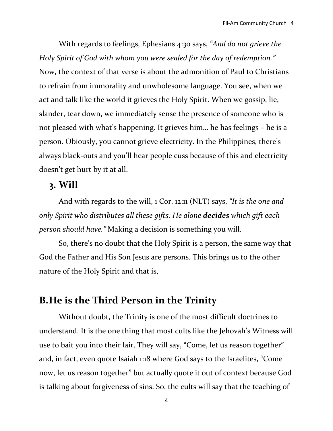With regards to feelings, Ephesians 4:30 says, *"And do not grieve the Holy Spirit of God with whom you were sealed for the day of redemption."* Now, the context of that verse is about the admonition of Paul to Christians to refrain from immorality and unwholesome language. You see, when we act and talk like the world it grieves the Holy Spirit. When we gossip, lie, slander, tear down, we immediately sense the presence of someone who is not pleased with what's happening. It grieves him… he has feelings – he is a person. Obiously, you cannot grieve electricity. In the Philippines, there's always black-outs and you'll hear people cuss because of this and electricity doesn't get hurt by it at all.

#### **3. Will**

And with regards to the will, 1 Cor. 12:11 (NLT) says, *"It is the one and only Spirit who distributes all these gifts. He alone decides which gift each person should have."* Making a decision is something you will.

So, there's no doubt that the Holy Spirit is a person, the same way that God the Father and His Son Jesus are persons. This brings us to the other nature of the Holy Spirit and that is,

### **B.He is the Third Person in the Trinity**

Without doubt, the Trinity is one of the most difficult doctrines to understand. It is the one thing that most cults like the Jehovah's Witness will use to bait you into their lair. They will say, "Come, let us reason together" and, in fact, even quote Isaiah 1:18 where God says to the Israelites, "Come now, let us reason together" but actually quote it out of context because God is talking about forgiveness of sins. So, the cults will say that the teaching of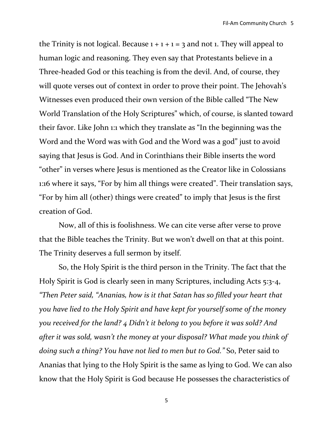the Trinity is not logical. Because  $1 + 1 + 1 = 3$  and not 1. They will appeal to human logic and reasoning. They even say that Protestants believe in a Three-headed God or this teaching is from the devil. And, of course, they will quote verses out of context in order to prove their point. The Jehovah's Witnesses even produced their own version of the Bible called "The New World Translation of the Holy Scriptures" which, of course, is slanted toward their favor. Like John 1:1 which they translate as "In the beginning was the Word and the Word was with God and the Word was a god" just to avoid saying that Jesus is God. And in Corinthians their Bible inserts the word "other" in verses where Jesus is mentioned as the Creator like in Colossians 1:16 where it says, "For by him all things were created". Their translation says, "For by him all (other) things were created" to imply that Jesus is the first creation of God.

Now, all of this is foolishness. We can cite verse after verse to prove that the Bible teaches the Trinity. But we won't dwell on that at this point. The Trinity deserves a full sermon by itself.

So, the Holy Spirit is the third person in the Trinity. The fact that the Holy Spirit is God is clearly seen in many Scriptures, including Acts 5:3-4, *"Then Peter said, "Ananias, how is it that Satan has so filled your heart that you have lied to the Holy Spirit and have kept for yourself some of the money you received for the land? 4 Didn't it belong to you before it was sold? And after it was sold, wasn't the money at your disposal? What made you think of doing such a thing? You have not lied to men but to God."* So, Peter said to Ananias that lying to the Holy Spirit is the same as lying to God. We can also know that the Holy Spirit is God because He possesses the characteristics of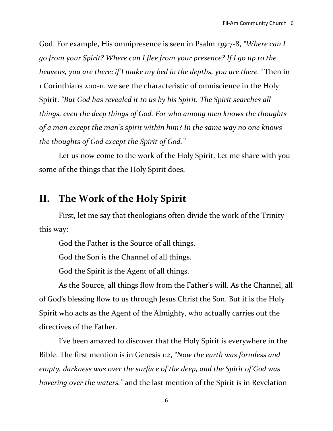God. For example, His omnipresence is seen in Psalm 139:7-8, *"Where can I go from your Spirit? Where can I flee from your presence? If I go up to the heavens, you are there; if I make my bed in the depths, you are there."* Then in 1 Corinthians 2:10-11, we see the characteristic of omniscience in the Holy Spirit. *"But God has revealed it to us by his Spirit. The Spirit searches all things, even the deep things of God. For who among men knows the thoughts of a man except the man's spirit within him? In the same way no one knows the thoughts of God except the Spirit of God."*

Let us now come to the work of the Holy Spirit. Let me share with you some of the things that the Holy Spirit does.

### **II. The Work of the Holy Spirit**

First, let me say that theologians often divide the work of the Trinity this way:

God the Father is the Source of all things.

God the Son is the Channel of all things.

God the Spirit is the Agent of all things.

As the Source, all things flow from the Father's will. As the Channel, all of God's blessing flow to us through Jesus Christ the Son. But it is the Holy Spirit who acts as the Agent of the Almighty, who actually carries out the directives of the Father.

I've been amazed to discover that the Holy Spirit is everywhere in the Bible. The first mention is in [Genesis 1:2,](http://biblia.com/bible/niv/Genesis%201.2) *"Now the earth was formless and empty, darkness was over the surface of the deep, and the Spirit of God was hovering over the waters."* and the last mention of the Spirit is in [Revelation](http://biblia.com/bible/niv/Revelation%2022.17)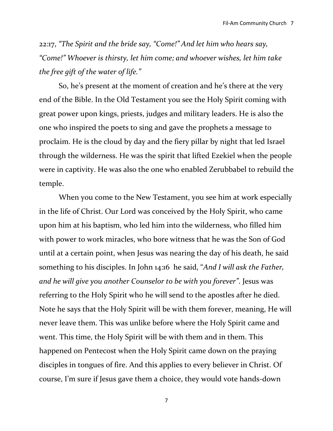[22:17,](http://biblia.com/bible/niv/Revelation%2022.17) *"The Spirit and the bride say, "Come!" And let him who hears say, "Come!" Whoever is thirsty, let him come; and whoever wishes, let him take the free gift of the water of life."* 

So, he's present at the moment of creation and he's there at the very end of the Bible. In the Old Testament you see the Holy Spirit coming with great power upon kings, priests, judges and military leaders. He is also the one who inspired the poets to sing and gave the prophets a message to proclaim. He is the cloud by day and the fiery pillar by night that led Israel through the wilderness. He was the spirit that lifted Ezekiel when the people were in captivity. He was also the one who enabled Zerubbabel to rebuild the temple.

When you come to the New Testament, you see him at work especially in the life of Christ. Our Lord was conceived by the Holy Spirit, who came upon him at his baptism, who led him into the wilderness, who filled him with power to work miracles, who bore witness that he was the Son of God until at a certain point, when Jesus was nearing the day of his death, he said something to his disciples. In John 14:16 he said, "*And I will ask the Father, and he will give you another Counselor to be with you forever"*. Jesus was referring to the Holy Spirit who he will send to the apostles after he died. Note he says that the Holy Spirit will be with them forever, meaning, He will never leave them. This was unlike before where the Holy Spirit came and went. This time, the Holy Spirit will be with them and in them. This happened on Pentecost when the Holy Spirit came down on the praying disciples in tongues of fire. And this applies to every believer in Christ. Of course, I'm sure if Jesus gave them a choice, they would vote hands-down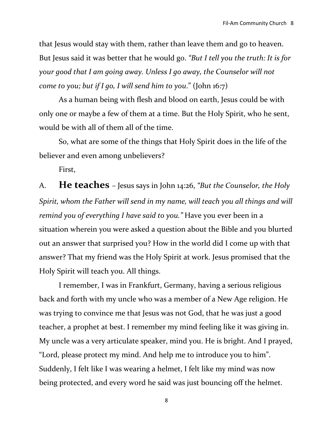that Jesus would stay with them, rather than leave them and go to heaven. But Jesus said it was better that he would go. *"But I tell you the truth: It is for your good that I am going away. Unless I go away, the Counselor will not come to you; but if I go, I will send him to you*." (John 16:7)

As a human being with flesh and blood on earth, Jesus could be with only one or maybe a few of them at a time. But the Holy Spirit, who he sent, would be with all of them all of the time.

So, what are some of the things that Holy Spirit does in the life of the believer and even among unbelievers?

First,

A. **He teaches** – Jesus says in John 14:26, *"But the Counselor, the Holy Spirit, whom the Father will send in my name, will teach you all things and will remind you of everything I have said to you."* Have you ever been in a situation wherein you were asked a question about the Bible and you blurted out an answer that surprised you? How in the world did I come up with that answer? That my friend was the Holy Spirit at work. Jesus promised that the Holy Spirit will teach you. All things.

I remember, I was in Frankfurt, Germany, having a serious religious back and forth with my uncle who was a member of a New Age religion. He was trying to convince me that Jesus was not God, that he was just a good teacher, a prophet at best. I remember my mind feeling like it was giving in. My uncle was a very articulate speaker, mind you. He is bright. And I prayed, "Lord, please protect my mind. And help me to introduce you to him". Suddenly, I felt like I was wearing a helmet, I felt like my mind was now being protected, and every word he said was just bouncing off the helmet.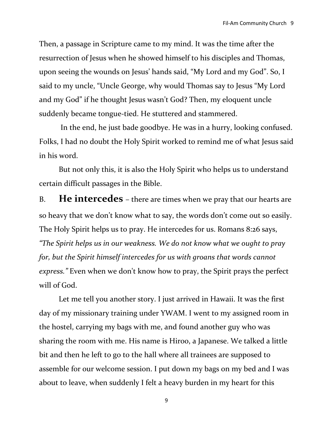Then, a passage in Scripture came to my mind. It was the time after the resurrection of Jesus when he showed himself to his disciples and Thomas, upon seeing the wounds on Jesus' hands said, "My Lord and my God". So, I said to my uncle, "Uncle George, why would Thomas say to Jesus "My Lord and my God" if he thought Jesus wasn't God? Then, my eloquent uncle suddenly became tongue-tied. He stuttered and stammered.

In the end, he just bade goodbye. He was in a hurry, looking confused. Folks, I had no doubt the Holy Spirit worked to remind me of what Jesus said in his word.

But not only this, it is also the Holy Spirit who helps us to understand certain difficult passages in the Bible.

B. **He intercedes** – there are times when we pray that our hearts are so heavy that we don't know what to say, the words don't come out so easily. The Holy Spirit helps us to pray. He intercedes for us. Romans 8:26 says, *"The Spirit helps us in our weakness. We do not know what we ought to pray for, but the Spirit himself intercedes for us with groans that words cannot express."* Even when we don't know how to pray, the Spirit prays the perfect will of God.

Let me tell you another story. I just arrived in Hawaii. It was the first day of my missionary training under YWAM. I went to my assigned room in the hostel, carrying my bags with me, and found another guy who was sharing the room with me. His name is Hiroo, a Japanese. We talked a little bit and then he left to go to the hall where all trainees are supposed to assemble for our welcome session. I put down my bags on my bed and I was about to leave, when suddenly I felt a heavy burden in my heart for this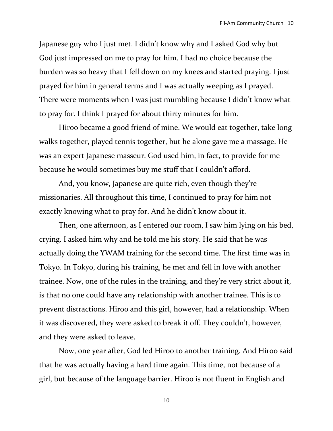Japanese guy who I just met. I didn't know why and I asked God why but God just impressed on me to pray for him. I had no choice because the burden was so heavy that I fell down on my knees and started praying. I just prayed for him in general terms and I was actually weeping as I prayed. There were moments when I was just mumbling because I didn't know what to pray for. I think I prayed for about thirty minutes for him.

Hiroo became a good friend of mine. We would eat together, take long walks together, played tennis together, but he alone gave me a massage. He was an expert Japanese masseur. God used him, in fact, to provide for me because he would sometimes buy me stuff that I couldn't afford.

And, you know, Japanese are quite rich, even though they're missionaries. All throughout this time, I continued to pray for him not exactly knowing what to pray for. And he didn't know about it.

Then, one afternoon, as I entered our room, I saw him lying on his bed, crying. I asked him why and he told me his story. He said that he was actually doing the YWAM training for the second time. The first time was in Tokyo. In Tokyo, during his training, he met and fell in love with another trainee. Now, one of the rules in the training, and they're very strict about it, is that no one could have any relationship with another trainee. This is to prevent distractions. Hiroo and this girl, however, had a relationship. When it was discovered, they were asked to break it off. They couldn't, however, and they were asked to leave.

Now, one year after, God led Hiroo to another training. And Hiroo said that he was actually having a hard time again. This time, not because of a girl, but because of the language barrier. Hiroo is not fluent in English and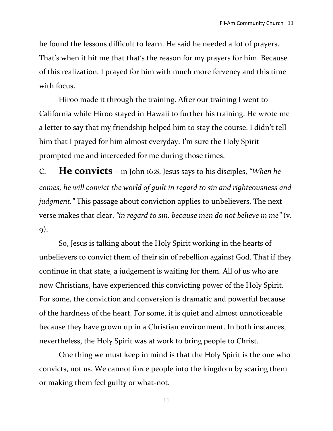he found the lessons difficult to learn. He said he needed a lot of prayers. That's when it hit me that that's the reason for my prayers for him. Because of this realization, I prayed for him with much more fervency and this time with focus.

Hiroo made it through the training. After our training I went to California while Hiroo stayed in Hawaii to further his training. He wrote me a letter to say that my friendship helped him to stay the course. I didn't tell him that I prayed for him almost everyday. I'm sure the Holy Spirit prompted me and interceded for me during those times.

C. **He convicts** – in John 16:8, Jesus says to his disciples, *"When he comes, he will convict the world of guilt in regard to sin and righteousness and judgment."* This passage about conviction applies to unbelievers. The next verse makes that clear, *"in regard to sin, because men do not believe in me"* (v. 9).

So, Jesus is talking about the Holy Spirit working in the hearts of unbelievers to convict them of their sin of rebellion against God. That if they continue in that state, a judgement is waiting for them. All of us who are now Christians, have experienced this convicting power of the Holy Spirit. For some, the conviction and conversion is dramatic and powerful because of the hardness of the heart. For some, it is quiet and almost unnoticeable because they have grown up in a Christian environment. In both instances, nevertheless, the Holy Spirit was at work to bring people to Christ.

One thing we must keep in mind is that the Holy Spirit is the one who convicts, not us. We cannot force people into the kingdom by scaring them or making them feel guilty or what-not.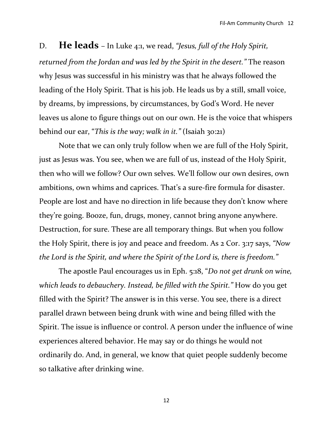# D. **He leads** – In Luke 4:1, we read, *"Jesus, full of the Holy Spirit, returned from the Jordan and was led by the Spirit in the desert."* The reason why Jesus was successful in his ministry was that he always followed the leading of the Holy Spirit. That is his job. He leads us by a still, small voice, by dreams, by impressions, by circumstances, by God's Word. He never leaves us alone to figure things out on our own. He is the voice that whispers behind our ear, "*This is the way; walk in it."* (Isaiah 30:21)

Note that we can only truly follow when we are full of the Holy Spirit, just as Jesus was. You see, when we are full of us, instead of the Holy Spirit, then who will we follow? Our own selves. We'll follow our own desires, own ambitions, own whims and caprices. That's a sure-fire formula for disaster. People are lost and have no direction in life because they don't know where they're going. Booze, fun, drugs, money, cannot bring anyone anywhere. Destruction, for sure. These are all temporary things. But when you follow the Holy Spirit, there is joy and peace and freedom. As 2 Cor. 3:17 says, *"Now the Lord is the Spirit, and where the Spirit of the Lord is, there is freedom."*

The apostle Paul encourages us in Eph. 5:18, "*Do not get drunk on wine, which leads to debauchery. Instead, be filled with the Spirit."* How do you get filled with the Spirit? The answer is in this verse. You see, there is a direct parallel drawn between being drunk with wine and being filled with the Spirit. The issue is influence or control. A person under the influence of wine experiences altered behavior. He may say or do things he would not ordinarily do. And, in general, we know that quiet people suddenly become so talkative after drinking wine.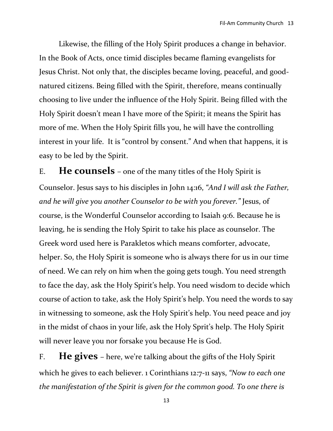Likewise, the filling of the Holy Spirit produces a change in behavior. In the Book of Acts, once timid disciples became flaming evangelists for Jesus Christ. Not only that, the disciples became loving, peaceful, and goodnatured citizens. Being filled with the Spirit, therefore, means continually choosing to live under the influence of the Holy Spirit. Being filled with the Holy Spirit doesn't mean I have more of the Spirit; it means the Spirit has more of me. When the Holy Spirit fills you, he will have the controlling interest in your life. It is "control by consent." And when that happens, it is easy to be led by the Spirit.

E. **He counsels** – one of the many titles of the Holy Spirit is Counselor. Jesus says to his disciples in John 14:16, *"And I will ask the Father, and he will give you another Counselor to be with you forever."* Jesus, of course, is the Wonderful Counselor according to Isaiah 9:6. Because he is leaving, he is sending the Holy Spirit to take his place as counselor. The Greek word used here is Parakletos which means comforter, advocate, helper. So, the Holy Spirit is someone who is always there for us in our time of need. We can rely on him when the going gets tough. You need strength to face the day, ask the Holy Spirit's help. You need wisdom to decide which course of action to take, ask the Holy Spirit's help. You need the words to say in witnessing to someone, ask the Holy Spirit's help. You need peace and joy in the midst of chaos in your life, ask the Holy Sprit's help. The Holy Spirit will never leave you nor forsake you because He is God.

F. **He gives** – here, we're talking about the gifts of the Holy Spirit which he gives to each believer. 1 Corinthians 12:7-11 says, *"Now to each one the manifestation of the Spirit is given for the common good. To one there is*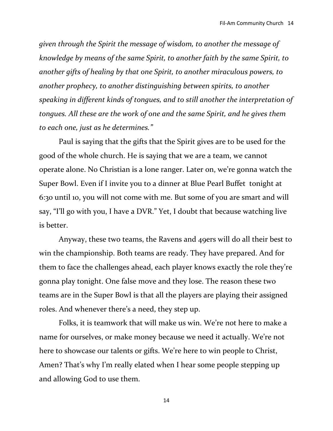*given through the Spirit the message of wisdom, to another the message of knowledge by means of the same Spirit, to another faith by the same Spirit, to another gifts of healing by that one Spirit, to another miraculous powers, to another prophecy, to another distinguishing between spirits, to another speaking in different kinds of tongues, and to still another the interpretation of tongues. All these are the work of one and the same Spirit, and he gives them to each one, just as he determines."*

Paul is saying that the gifts that the Spirit gives are to be used for the good of the whole church. He is saying that we are a team, we cannot operate alone. No Christian is a lone ranger. Later on, we're gonna watch the Super Bowl. Even if I invite you to a dinner at Blue Pearl Buffet tonight at 6:30 until 10, you will not come with me. But some of you are smart and will say, "I'll go with you, I have a DVR." Yet, I doubt that because watching live is better.

Anyway, these two teams, the Ravens and 49ers will do all their best to win the championship. Both teams are ready. They have prepared. And for them to face the challenges ahead, each player knows exactly the role they're gonna play tonight. One false move and they lose. The reason these two teams are in the Super Bowl is that all the players are playing their assigned roles. And whenever there's a need, they step up.

Folks, it is teamwork that will make us win. We're not here to make a name for ourselves, or make money because we need it actually. We're not here to showcase our talents or gifts. We're here to win people to Christ, Amen? That's why I'm really elated when I hear some people stepping up and allowing God to use them.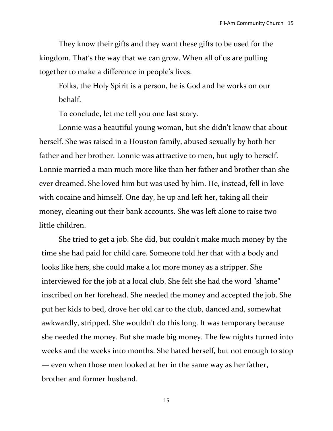They know their gifts and they want these gifts to be used for the kingdom. That's the way that we can grow. When all of us are pulling together to make a difference in people's lives.

Folks, the Holy Spirit is a person, he is God and he works on our behalf.

To conclude, let me tell you one last story.

Lonnie was a beautiful young woman, but she didn't know that about herself. She was raised in a Houston family, abused sexually by both her father and her brother. Lonnie was attractive to men, but ugly to herself. Lonnie married a man much more like than her father and brother than she ever dreamed. She loved him but was used by him. He, instead, fell in love with cocaine and himself. One day, he up and left her, taking all their money, cleaning out their bank accounts. She was left alone to raise two little children.

She tried to get a job. She did, but couldn't make much money by the time she had paid for child care. Someone told her that with a body and looks like hers, she could make a lot more money as a stripper. She interviewed for the job at a local club. She felt she had the word "shame" inscribed on her forehead. She needed the money and accepted the job. She put her kids to bed, drove her old car to the club, danced and, somewhat awkwardly, stripped. She wouldn't do this long. It was temporary because she needed the money. But she made big money. The few nights turned into weeks and the weeks into months. She hated herself, but not enough to stop — even when those men looked at her in the same way as her father, brother and former husband.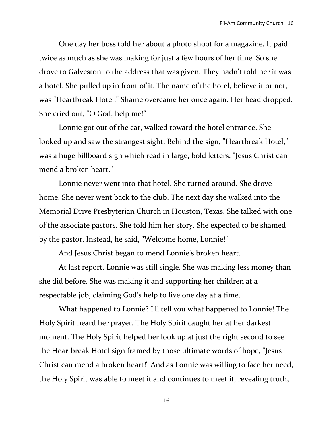One day her boss told her about a photo shoot for a magazine. It paid twice as much as she was making for just a few hours of her time. So she drove to Galveston to the address that was given. They hadn't told her it was a hotel. She pulled up in front of it. The name of the hotel, believe it or not, was "Heartbreak Hotel." Shame overcame her once again. Her head dropped. She cried out, "O God, help me!"

Lonnie got out of the car, walked toward the hotel entrance. She looked up and saw the strangest sight. Behind the sign, "Heartbreak Hotel," was a huge billboard sign which read in large, bold letters, "Jesus Christ can mend a broken heart."

Lonnie never went into that hotel. She turned around. She drove home. She never went back to the club. The next day she walked into the Memorial Drive Presbyterian Church in Houston, Texas. She talked with one of the associate pastors. She told him her story. She expected to be shamed by the pastor. Instead, he said, "Welcome home, Lonnie!"

And Jesus Christ began to mend Lonnie's broken heart.

At last report, Lonnie was still single. She was making less money than she did before. She was making it and supporting her children at a respectable job, claiming God's help to live one day at a time.

What happened to Lonnie? I'll tell you what happened to Lonnie! The Holy Spirit heard her prayer. The Holy Spirit caught her at her darkest moment. The Holy Spirit helped her look up at just the right second to see the Heartbreak Hotel sign framed by those ultimate words of hope, "Jesus Christ can mend a broken heart!" And as Lonnie was willing to face her need, the Holy Spirit was able to meet it and continues to meet it, revealing truth,